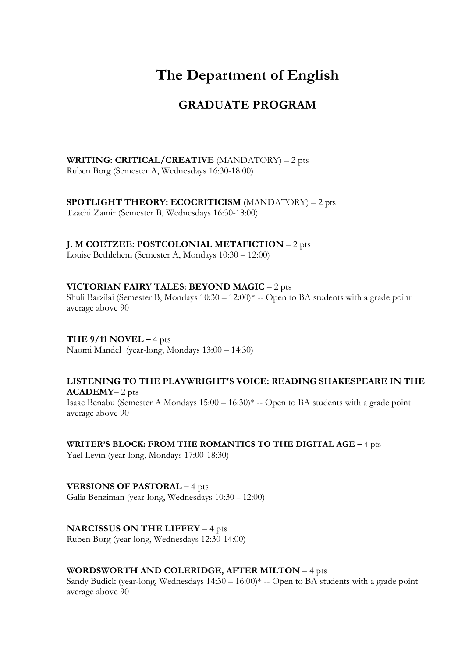# **The Department of English**

# **GRADUATE PROGRAM**

**WRITING: CRITICAL/CREATIVE** (MANDATORY) – 2 pts Ruben Borg (Semester A, Wednesdays 16:30-18:00)

**SPOTLIGHT THEORY: ECOCRITICISM** (MANDATORY) – 2 pts

Tzachi Zamir (Semester B, Wednesdays 16:30-18:00)

**J. M COETZEE: POSTCOLONIAL METAFICTION** – 2 pts

Louise Bethlehem (Semester A, Mondays 10:30 – 12:00)

#### **VICTORIAN FAIRY TALES: BEYOND MAGIC** – 2 pts

Shuli Barzilai (Semester B, Mondays 10:30 – 12:00)\* -- Open to BA students with a grade point average above 90

**THE 9/11 NOVEL –** 4 pts Naomi Mandel (year-long, Mondays 13:00 – 14:30)

**LISTENING TO THE PLAYWRIGHT'S VOICE: READING SHAKESPEARE IN THE ACADEMY**– 2 pts Isaac Benabu (Semester A Mondays 15:00 – 16:30)\* -- Open to BA students with a grade point average above 90

**WRITER'S BLOCK: FROM THE ROMANTICS TO THE DIGITAL AGE –** 4 pts Yael Levin (year-long, Mondays 17:00-18:30)

**VERSIONS OF PASTORAL –** 4 pts Galia Benziman (year-long, Wednesdays 10:30 – 12:00)

**NARCISSUS ON THE LIFFEY** – 4 pts Ruben Borg (year-long, Wednesdays 12:30-14:00)

#### **WORDSWORTH AND COLERIDGE, AFTER MILTON** – 4 pts

Sandy Budick (year-long, Wednesdays 14:30 – 16:00)\* -- Open to BA students with a grade point average above 90